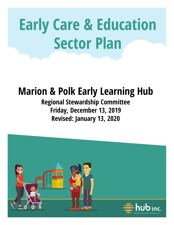# **Early Care & Education Sector Plan**

## **Marion & Polk Early Learning Hub**

## **Regional Stewardship Committee Friday, December 13, 2019 Revised: January 13, 2020**

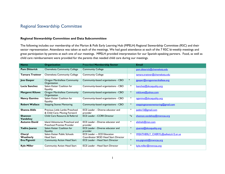## Regional Stewardship Committee

### **Regional Stewardship Committee and Data Subcommittee**

The following includes our membership of the Marion & Polk Early Learning Hub (MPELH) Regional Stewardship Committee (RSC) and their sector representation. Attendance was taken at each of the meetings. We had good attendance at each of the 7 RSC bi-weekly meetings and great participation by parents at each one of our meetings. MPELH provided interpretation for our Spanish-speaking partners. Food, as well as child care reimbursement were provided for the parents that needed child care during our meetings.

| <b>Name</b>                | <b>Organization</b>                                                  | <b>Prescribed Membership Sector</b>                  |                  | <b>Email</b>                       |
|----------------------------|----------------------------------------------------------------------|------------------------------------------------------|------------------|------------------------------------|
| <b>Pam Ditterick</b>       | Chemeketa Community College                                          | <b>Community College</b>                             |                  | pam.ditterick@chemeketa.edu        |
| <b>Tamara Trattner</b>     | Chemeketa Community College                                          | <b>Community College</b>                             |                  | tamara.trattner@chemeketa.edu      |
| <b>Jess Gasper</b>         | <b>Oregon Marshallese Community</b><br>Organization                  | Community-based organizations - CBO                  | $\ast$           | jgasper@oregonmarshallese.org      |
| Lucia Sanchez              | Salem Keizer Coalition for<br><b>Equality</b>                        | Community-based organizations - CBO                  | $\ast$           | Isanchez@skcequality.org           |
| <b>Margaret Kiluwe</b>     | Oregon Marshallese Community<br>Organization                         | Community-based organizations - CBO                  | $\ast$           | mkiluwe@yahoo.com                  |
| <b>Nancy Gamino</b>        | Salem Keizer Coalition for<br><b>Equality</b>                        | Community-based organizations - CBO                  | $\ast$           | ngamino@skcequality.org            |
| <b>Robert Wallace</b>      | <b>Stepping Stones Mentoring</b>                                     | Community-based organizations - CBO                  | $\ast$           | steppingstonesmentoring@gmail.com  |
| <b>Shanna Aldis</b>        | Precious Little Lambs Preschool<br>& Child Care; Moving Forward      | ECE Leader - Diverse educator and<br>provider        | $\ast$           | jaebis   3@gmail.com               |
| <b>Shannon</b><br>Vandehey | Child Care Resource & Referral                                       | <b>ECE Leader - CCRR Director</b>                    | $*_{\mathsf{X}}$ | shannon.vandehey@mwycaa.org        |
| <b>Autumn David</b>        | Island Adventures Preschool and<br><b>Preschool Promise Provider</b> | ECE Leader - Diverse educator and<br>provider        | $\ast$           | elishiah@msn.com                   |
| Yadira Juarez              | Salem Keizer Coalition for<br><b>Equality</b>                        | <b>ECE Leader - Diverse educator and</b><br>provider | $\ast$           | yjuarez@skcequality.org            |
| Cheryl                     | Salem Keizer Public Schools                                          | <b>ECE Leader - ECE Education</b>                    | $\ast$           | WEATHERLY CHERYL@salkeiz.kl2.or.us |
| Weatherly                  | Head Start                                                           | Coordinator SKSD Head Start Director                 |                  |                                    |
| Eva Pignotti               | <b>Community Action Head Start</b>                                   | <b>ECE Leader - Head Start Director</b>              | $\ast$           | eva.pignotti@mwycaa.org            |
| <b>Kyle Miller</b>         | Community Action Head Start                                          | <b>ECE Leader - Head Start Director</b>              | ∗                | kyle.miller@mwycaa.org             |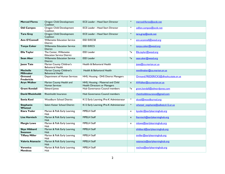| <b>Merced Flores</b>                  | Oregon Child Development<br>Coalition                       | <b>ECE Leader - Head Start Director</b>                           | $\ast$                    | merced.flores@ocdc.net               |
|---------------------------------------|-------------------------------------------------------------|-------------------------------------------------------------------|---------------------------|--------------------------------------|
| <b>Odi Campos</b>                     | <b>Oregon Child Development</b><br>Coalition                | <b>ECE Leader - Head Start Director</b>                           | ∗                         | odilon.campos@ocdc.net               |
| <b>Tara Gray</b>                      | Oregon Child Development<br>Coalition                       | <b>ECE Leader - Head Start Director</b>                           | $\ast$                    | tara.gray@ocdc.net                   |
| <b>Ann O'Connell</b>                  | <b>Willamette Education Service</b><br>District             | <b>ESD EI/ECSE</b>                                                | $\ast$                    | ann.oconnell@wesd.org                |
| <b>Tonya Coker</b>                    | <b>Willamette Education Service</b><br><b>District</b>      | <b>ESD EI/ECS</b>                                                 | $\ast$                    | tonya.coker@wesd.org                 |
| <b>Ella Taylor</b>                    | The Center, Willamette<br><b>Education Service District</b> | <b>ESD Leader</b>                                                 | $\overline{\mathbf{x}}$   | Ella.taylor@wesd.org                 |
| <b>Sean Aker</b>                      | <b>Willamette Education Service</b><br><b>District</b>      | <b>ESD Leader</b>                                                 | $*_x$                     | sean.aker@wesd.org                   |
| <b>Jason Tate</b>                     | <b>Marion County Children's</b><br><b>Behavioral Health</b> | Health & Behavioral Health                                        |                           | jtate@co.marion.or.us                |
| <b>Mechelle</b><br><b>Millmaker</b>   | Marion County Children's<br><b>Behavioral Health</b>        | Health & Behavioral Health                                        |                           | mmillmaker@co.marion.or.us           |
| Ormond<br><b>Fredericks</b>           | Department of Human Services                                | HHS, Housing - DHS District Managers                              |                           | Ormond.FREDERICKS@dhsoha.state.or.us |
| <b>Aryn Walker</b>                    | Marion County Health and<br><b>Human Services</b>           | HHS, Housing - Maternal and Child<br>Health Directors or Managers | $\boldsymbol{\mathsf{x}}$ | AWalker@co.marion.or.us              |
| <b>Grant Kendall</b>                  | <b>Edward Jones</b>                                         | Hub Governance Council members                                    | $\overline{\mathbf{x}}$   | grant.kendall@edwardjones.com        |
| <b>David Rheinholdt</b>               | <b>Rheinholdt Insurance</b>                                 | Hub Governance Council members                                    |                           | rheinholdtinsurance@gmail.com        |
| <b>Sonia Kool</b>                     | <b>Woodburn School District</b>                             | K12 Early Learning / Pre-K Administrator                          | $\ast$                    | skool@woodburnsd.org                 |
| <b>Stephanie</b><br>Whetzel           | Salem Keizer School District                                | K12 Early Learning /Pre-K Administrator                           | $\ast$                    | whetzel stephanie@salkeiz.kl2.or.us  |
| Kiara Yoder                           | Marion & Polk Early Learning<br>Hub                         | <b>MPELH Staff</b>                                                | $\mathsf{x}$              | kyoder@earlylearninghub.org          |
| Lisa Harnisch                         | Marion & Polk Early Learning<br>Hub                         | <b>MPELH Staff</b>                                                | $\boldsymbol{\mathsf{x}}$ | lharnisch@earlylearninghub.org       |
| <b>Margie Lowe</b>                    | Marion & Polk Early Learning<br>Hub                         | <b>MPELH Staff</b>                                                | $\mathsf{x}$              | mlowe@earlylearninghub.org           |
| <b>Skye Hibbard</b><br><b>Swanson</b> | Marion & Polk Early Learning<br>Hub                         | <b>MPELH Staff</b>                                                |                           | shibbard@earlylearninghub.org        |
| <b>Tiffany Miller</b>                 | Marion & Polk Early Learning<br>Hub                         | <b>MPELH Staff</b>                                                |                           | tmiller@earlylearninghub.org         |
| Valeria Atanacio                      | Marion & Polk Early Learning<br>Hub                         | <b>MPELH Staff</b>                                                |                           | vatanacio@earlylearninghub.org       |
| Veronica<br>Mendoza                   | Marion & Polk Early Learning<br>Hub                         | <b>MPELH Staff</b>                                                |                           | vochoa@earlylearninghub.org          |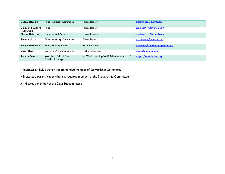| <b>Becca Blessing</b>              | <b>Parent Advisory Committee</b>                            | Parent leaders                         | $\div$         | blessing.becca@gmail.com           |
|------------------------------------|-------------------------------------------------------------|----------------------------------------|----------------|------------------------------------|
| <b>Carmen Navarro</b><br>Rodriguez | Parent                                                      | Parent leaders                         | ٠              | espinoza4178@yahoo.com             |
| <b>Megan Baldwin</b>               | Home School Parent                                          | Parent leaders                         | ٠              | megbaldwin   2@gmail.com           |
| Teresa Urban                       | <b>Parent Advisory Committee</b>                            | Parent leaders                         | $\overline{ }$ | morizquete@hotmail.com             |
| Tanya Hamilton                     | <b>Family Building Blocks</b>                               | <b>Relief Nursery</b>                  |                | thamilton@familybuildingblocks.org |
| <b>Cindy Ryan</b>                  | <b>Western Oregon University</b>                            | <b>Higher Education</b>                |                | ryanc@mail.wou.edu                 |
| <b>Teresa Reyes</b>                | <b>Woodburn School District</b><br><b>Preschool Manager</b> | K12/Early Learning/Pre-K Administrator | $\ast$         | treyes@woodburnsd.org              |

\*' Indicates an ELD strongly recommended member of Stewardship Committee

+ Indicates a parent leader who is a required member of the Stewardship Committee

x Indicates a member of the Data Subcommittee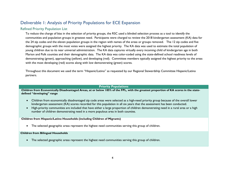## Deliverable 1: Analysis of Priority Populations for ECE Expansion

## Refined Priority Population List

To reduce the charge of bias in the selection of priority groups, the RSC used a blinded selection process as a tool to identify the communities and population groups in greatest need. Participants were charged to review the 2018 kindergarten assessment (KA) data for the 24 zip codes and the eleven population groups in the region with names of the areas or groups removed. The 12 zip codes and five demographic groups with the most votes were assigned the highest priority. The KA data was used to estimate the total population of young children due to its near universal administration. The KA data captures virtually every incoming child of kindergarten age in both Marion and Polk counties and their demographic data. The KA data was color-coded using the state-defined school readiness levels of demonstrating (green), approaching (yellow), and developing (red). Committee members typically assigned the highest priority to the areas with the most developing (red) scores along with low demonstrating (green) scores.

Throughout this document we used the term "Hispanic/Latino" as requested by our Regional Stewardship Committee Hispanic/Latino partners.

### **Priority Populations**

**Children from Economically Disadvantaged Areas, at or below 185% of the FPL, with the greatest proportion of KA scores in the statedefined "developing" range** 

- Children from economically disadvantaged zip code areas were selected as a high-need priority group because of the overall lower kindergarten assessment (KA) scores recorded for this population in all six years that the assessment has been conducted.
- High-priority communities are included that have either a large proportion of children demonstrating need in a rural area or a high number of children demonstrating need in a more populous area in both counties.

**Children from Hispanic/Latino Households (including Children of Migrants)**

• The selected geographic areas represent the highest need communities serving this group of children.

#### **Children from Bilingual Households**

• The selected geographic areas represent the highest need communities serving this group of children.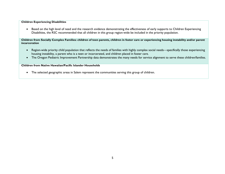#### **Children Experiencing Disabilities**

• Based on the high level of need and the research evidence demonstrating the effectiveness of early supports to Children Experiencing Disabilities, the RSC recommended that all children in this group region-wide be included in the priority population.

**Children from Socially Complex Families: children of teen parents, children in foster care or experiencing housing instability and/or parent incarceration**

- Region-wide priority child population that reflects the needs of families with highly complex social needs—specifically those experiencing housing instability, a parent who is a teen or incarcerated, and children placed in foster care.
- The Oregon Pediatric Improvement Partnership data demonstrates the many needs for service alignment to serve these children/families.

#### **Children from Native Hawaiian/Pacific Islander Households**

• The selected geographic areas in Salem represent the communities serving this group of children.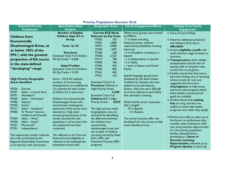| <b>Potential Priority</b>                  | <b>Quantitative Data</b>          | <b>Geographic Areas</b>         | <b>Family Engagement Efforts</b>       | <b>Findings from Family</b>                                             |
|--------------------------------------------|-----------------------------------|---------------------------------|----------------------------------------|-------------------------------------------------------------------------|
| <b>Populations</b>                         | <b>Analysis</b>                   |                                 |                                        | <b>Engagement</b>                                                       |
|                                            | <b>Number of Eligible</b>         | <b>Current ECE Need</b>         | Fifteen focus groups were hosted       | • Focus Group Findings:                                                 |
| <b>Children from</b>                       | <b>Children Ages 0-5 in</b>       | <b>Estimate by Zip Code:</b>    | by MPELH:                              |                                                                         |
| <b>Economically</b>                        | Group                             | 97026<br>325                    | - 7 in Salem including                 | • Need for additional preschool                                         |
|                                            |                                   | 97301<br>2,800                  | Hispanic/Latinos, children             | and childcare (0-5) that is                                             |
| Disadvantaged Areas, at                    | <b>Total: 15,170</b>              | 97071<br>2,000                  | experiencing disabilities, housing     | affordable                                                              |
| or below 185% of the                       |                                   | 97305<br>1,870                  | insecurity                             | • Income eligibility cutoffs with                                       |
| FPL*, with the greatest                    | <b>Preschool</b>                  | 97383<br>320                    | - 3 in Woodburn including 2 in         | small minimum wage increases or                                         |
|                                            | Estimated Total # of Children     | 97303<br>2,525                  | Spanish                                | overtime.                                                               |
| proportion of KA scores                    | All Zip Codes = $6,068$           | 97317<br>780<br>97002           | - I in Independence in Spanish         | • Transportation, both reliable                                         |
| in the state-defined                       | Infant/Toddler                    | 340<br>97304<br>925             | - 2 in Dallas                          | transportation and the fear of                                          |
| "developing" range                         | Estimated Total # of Children     | 97306<br>850                    | - I each in Stayton and Grand<br>Ronde | putting child on long bus rides,                                        |
|                                            | All $Zip Codes = 9,102$           | 97361<br>405                    |                                        | are barriers to programs.                                               |
|                                            |                                   | 210<br>97351                    | Spanish language groups were           | • Families shared that they have a                                      |
| <b>High Priority Geographic</b>            | Source - 2018 KA Lookback         |                                 | facilitated by the Salem Keizer        | hard time finding care or knowing                                       |
| <b>Areas Identified</b>                    | (numbers of new/incoming          | Estimated Total # of            | Coalition for Equality who also        | where to look for care and                                              |
|                                            | kindergarteners are multiplied by | <b>Preschool Children in</b>    | helped recruit participants.           | suggested that there be a                                               |
| 97026<br>Gervais <sup>1</sup>              | 5 to estimate the total number    | High-Priority Areas:            | Dinner, child care and a \$20 gift     | clearinghouse to help locate                                            |
| 97301<br>Salem - Central Area <sup>1</sup> | of children 0-5 in each area.)    | 5,340                           | card were offered to each family       | and know what programs (both                                            |
| Woodburn <sup>2</sup><br>97071             |                                   | Estimated Total # of            | that attended a meeting.               | infant-toddler and preschool-                                           |
| 97305<br>Salem - Northeast <sup>2</sup>    | Children from Economically        | Children 0-2 in High-           |                                        | aged) are available.                                                    |
| 97383<br>Stayton <sup>2</sup>              | Disadvantaged Areas with          | <b>Priority Areas:</b><br>8,075 | Online family survey responses: -      | • Families shared that waiting                                          |
| 97303<br>Keizer <sup>3</sup>               | overall lower kindergarten        |                                 | 463 in English                         | lists are long, and they are                                            |
| 97317<br>Salem - Southeast <sup>3</sup>    | assessment (KA) scores were       | The high priority needs         | 97 in Spanish                          | unable to access high quality                                           |
| 97002<br>N. Marion <sup>4</sup> (Aurora,   | selected as a high need           | by geographic area are          | 3 in Russian.                          | programs even when they qualify.                                        |
| Hubbard and Donald)                        | priority group because of the     | estimated by identifying        |                                        |                                                                         |
| 97304<br>Salem - West <sup>4</sup>         | trends recorded for this          | the difference between          | The survey incentive offer was         | • Parents were able to select up to<br>five factors or preferences they |
| 97306<br>Salem $-$ South <sup>5</sup>      | population in all six years that  | the children from               | de-linked from the survey to help      | consider when looking for child                                         |
| 97361<br>Monmouth <sup>6</sup>             | the assessment has been           | economically                    | assure families privacy.               | care and preschool opportunities.                                       |
| 97351<br>Independence <sup>7</sup>         | conducted.                        | disadvantaged areas and         |                                        | For this priority population,                                           |
|                                            |                                   | the number of children          |                                        | families selected factors                                               |
| The superscript number indicates           | *As reflected in the Free and     | currently served by Head        |                                        | pertaining to a Sense of                                                |
| the order prioritized by the               | Reduced Lunch eligibility as      | Start, OPK, and                 |                                        | <b>Security, Learning</b>                                               |
| Regional Stewardship Committee             | reflected in the kindergarten     | Preschool Promise (PSP)         |                                        | Opportunities, followed up by                                           |
| in an exercise with community              | assessment annual data.           | programs.                       |                                        | Program Quality as their top                                            |
|                                            |                                   |                                 |                                        |                                                                         |

## **Priority Population Decision Grid**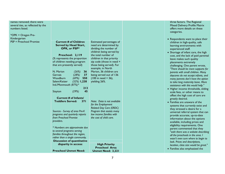| names removed; there were<br>several ties, as reflected by the<br>numbers listed.<br>*OPK = Oregon Pre-<br>Kindergarten<br><b>PSP = Preschool Promise</b> | <b>Current # of Children</b><br><b>Served by Head Start,</b><br>OPK, or PSP*<br>Preschool: 2,119<br>(% represents the proportion<br>of children needing program<br>that are presently served)<br>N. Marion<br>(26%)<br>36<br>(28%)<br>37<br><b>Gervais</b><br>(69%)<br>Woodburn<br>550 | Estimated percentages of<br>need are determined by<br>dividing the number of<br>children being served by<br>the total number of<br>children in that priority<br>zip code (those in need +<br>those being served). For<br>example, in North<br>Marion, 36 children are<br>being served out of 136<br>$(100$ in need + 36), | three factors. The Regional<br>Mixed Delivery Profile Matrix<br>offers more details on these<br>categories.<br>• Respondents want to place their<br>children in high-quality, safe<br>learning environments with<br>experienced staff.<br>• Shortage of infant care, the high<br>cost, and the lack of paid parental<br>leave makes such quality<br>placements extremely<br>challenging. One parent wrote,<br>"There should be more supports for<br>parents with small children. Many<br>daycares do not accept infants, and<br>many parents don't have the option |
|-----------------------------------------------------------------------------------------------------------------------------------------------------------|----------------------------------------------------------------------------------------------------------------------------------------------------------------------------------------------------------------------------------------------------------------------------------------|---------------------------------------------------------------------------------------------------------------------------------------------------------------------------------------------------------------------------------------------------------------------------------------------------------------------------|--------------------------------------------------------------------------------------------------------------------------------------------------------------------------------------------------------------------------------------------------------------------------------------------------------------------------------------------------------------------------------------------------------------------------------------------------------------------------------------------------------------------------------------------------------------------|
|                                                                                                                                                           | Salem/Keizer<br>$(32%)$ 1,238<br>Ind./Monmouth (87%)*                                                                                                                                                                                                                                  | yielding 26%.                                                                                                                                                                                                                                                                                                             | to take long maternity leave. More<br>assistance with this would help."                                                                                                                                                                                                                                                                                                                                                                                                                                                                                            |
|                                                                                                                                                           | 213<br>45<br>(29%)<br>Stayton<br><b>Current # of Infants/</b>                                                                                                                                                                                                                          |                                                                                                                                                                                                                                                                                                                           | • Higher income thresholds, sliding<br>scale fees, or other means to<br>offset the high cost of care are<br>greatly desired.                                                                                                                                                                                                                                                                                                                                                                                                                                       |
|                                                                                                                                                           | <b>Toddlers Served:</b><br><b>371</b>                                                                                                                                                                                                                                                  | Note: Data is not available<br>for the Employment<br><b>Related Day Care (ERDC)</b>                                                                                                                                                                                                                                       | • Families are unaware of the<br>systems that currently exist and                                                                                                                                                                                                                                                                                                                                                                                                                                                                                                  |
|                                                                                                                                                           | Sources - Survey of area Pre-K<br>programs and quarterly reports<br>from Preschool Promise<br>providers.                                                                                                                                                                               | Program that assists many<br>low income families with<br>the cost of child care.                                                                                                                                                                                                                                          | they stressed a desire for a<br>universal referral system that can<br>provide accurate, up-to-date<br>information about the options<br>available, including prices and                                                                                                                                                                                                                                                                                                                                                                                             |
|                                                                                                                                                           | * Numbers are approximate due<br>to several programs serving                                                                                                                                                                                                                           |                                                                                                                                                                                                                                                                                                                           | eligibility requirements. One<br>parent commented that they<br>"wish there was a website describing                                                                                                                                                                                                                                                                                                                                                                                                                                                                |
|                                                                                                                                                           | families throughout the region,<br>rather than a single community.<br><b>Discussion of quantitative</b>                                                                                                                                                                                |                                                                                                                                                                                                                                                                                                                           | all the preschools in the area. I<br>wasn't even sure where to begin to                                                                                                                                                                                                                                                                                                                                                                                                                                                                                            |
|                                                                                                                                                           | disparity in access:                                                                                                                                                                                                                                                                   | <b>High Priority</b>                                                                                                                                                                                                                                                                                                      | look. Prices and descriptions,<br>location, class size would be great."                                                                                                                                                                                                                                                                                                                                                                                                                                                                                            |
|                                                                                                                                                           | <b>Preschool Unmet Need:</b>                                                                                                                                                                                                                                                           | <b>Preschool Area</b><br><b>Unmet Need: 3,221</b>                                                                                                                                                                                                                                                                         | • Families also emphasized the                                                                                                                                                                                                                                                                                                                                                                                                                                                                                                                                     |
|                                                                                                                                                           |                                                                                                                                                                                                                                                                                        |                                                                                                                                                                                                                                                                                                                           |                                                                                                                                                                                                                                                                                                                                                                                                                                                                                                                                                                    |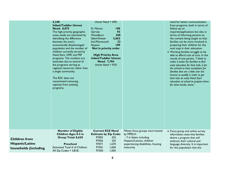|                                                                  | 5,340<br><b>Infant/Toddler Unmet</b><br>Need: 8,075<br>The high priority geographic<br>areas needs are estimated by<br>identifying the difference<br>between the area's<br>economically disadvantaged<br>population and the number of<br>children currently served by<br>Head Start, OPK and PSP<br>programs. The numbers are<br>estimates due to several of<br>the programs serving as<br>regional resources rather than<br>a single community.<br>The RSC does not<br>recommend removing<br>capacity from existing<br>programs. | Unmet Need = $40\%$<br>100<br>N. Marion<br>93<br>Gervais<br><b>Woodburn</b><br>250<br>Salem/Keizer<br>2,662<br>Ind./Monmouth<br>33<br>109<br>Stayton<br>Not in priority order<br><b>High Priority Area</b><br><b>Infant/Toddler Unmet</b><br>Need: 7,704<br>Unmet Need = $95\%$ |                                                                                                                                                           | need for better communication<br>from programs, both in terms of<br>follow-up on<br>inquiries/applications but also in<br>terms of informing parents on<br>the content being taught so that<br>families can be more involved in<br>preparing their children for the<br>next step in their education.<br>• Working families struggle to be<br>able to afford cost of care. In the<br>words of one parent, "I think to<br>make it easier for families to find<br>early education for their kids, is for<br>the schools to have exceptions for<br>families that are a little over the<br>income to qualify in order to get<br>their kids an early Head Start<br>education at school to prepare them<br>for when kinder starts." |
|------------------------------------------------------------------|-----------------------------------------------------------------------------------------------------------------------------------------------------------------------------------------------------------------------------------------------------------------------------------------------------------------------------------------------------------------------------------------------------------------------------------------------------------------------------------------------------------------------------------|---------------------------------------------------------------------------------------------------------------------------------------------------------------------------------------------------------------------------------------------------------------------------------|-----------------------------------------------------------------------------------------------------------------------------------------------------------|------------------------------------------------------------------------------------------------------------------------------------------------------------------------------------------------------------------------------------------------------------------------------------------------------------------------------------------------------------------------------------------------------------------------------------------------------------------------------------------------------------------------------------------------------------------------------------------------------------------------------------------------------------------------------------------------------------------------------|
| <b>Children from</b><br>Hispanic/Latino<br>households (including | <b>Number of Eligible</b><br><b>Children Ages 0-5 in</b><br>Group Total: 8,620<br>Preschool<br>Estimated Total # of Children<br>All Zip Codes = $3,818$ ,                                                                                                                                                                                                                                                                                                                                                                         | <b>Current ECE Need</b><br><b>Estimate by Zip Code:</b><br>97002<br>325<br>235<br>97026<br>97071<br>1,670<br>97301<br>1,650<br>97303<br>1,505                                                                                                                                   | Fifteen focus groups were hosted<br>by MPELH:<br>- 7 in Salem including<br>Hispanic/Latinos, children<br>experiencing disabilities, housing<br>insecurity | • Focus group and online survey<br>information state that families<br>desire a program that will<br>embrace their cultural and<br>language diversity. It is important<br>for this population that the                                                                                                                                                                                                                                                                                                                                                                                                                                                                                                                        |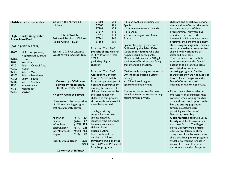| children of migrants)                    | including 314 Migrant Ed.<br>children                                       | 97304<br>590<br>97305<br>1,315                    | - 3 in Woodburn including 2 in<br>Spanish                       | childcare and preschools serving<br>their children offer healthy meals |
|------------------------------------------|-----------------------------------------------------------------------------|---------------------------------------------------|-----------------------------------------------------------------|------------------------------------------------------------------------|
|                                          |                                                                             | 97306<br>425                                      | - I in Independence in Spanish                                  | or snacks as a part of their                                           |
|                                          |                                                                             | 97317<br>410                                      | - 2 in Dallas                                                   | programming. Many families                                             |
| <b>High Priority Geographic</b>          | Infant/Toddler                                                              | 97351<br>130                                      | - I each in Stayton and Grand                                   | described that, due to the                                             |
| <b>Areas Identified</b>                  | Estimated Total # of Children                                               | 97361<br>260                                      | Ronde                                                           | increase in minimum wage and/or                                        |
|                                          | All $Zip Codes = 5,727$                                                     | 105<br>97383                                      |                                                                 | overtime, their income is slightly                                     |
| (not in priority order)                  |                                                                             |                                                   | Spanish language groups were                                    | above program eligibility. Families                                    |
|                                          |                                                                             | Estimated Total # of                              | facilitated by the Salem Keizer                                 | reported needing a program that                                        |
| 97002<br>N. Marion (Aurora,              | Sources - 2018 KA Lookback;<br><b>WESD Migrant Education Data</b>           | preschool age children<br>in High-Priority Areas: | Coalition for Equality who also<br>helped recruit participants. | aligned with work hours or<br>extended hour care.                      |
| Hubbard and Donald)                      |                                                                             | 3,278                                             | Dinner, child care and a \$20 gift                              | Transportation, both reliable                                          |
| 97026<br>Gervais                         |                                                                             | (including Migrant                                | card were offered to each family                                | transportation and the fear of                                         |
| 97071<br>Woodburn                        |                                                                             | children)                                         | that attended a meeting.                                        | putting child on long bus rides                                        |
| 97301<br>Salem - Central Area            |                                                                             |                                                   |                                                                 | were listed as barriers to                                             |
| 97303<br>Keizer<br>97304<br>Salem - West |                                                                             | Estimated Total $#$ of                            | Online family survey responses: -                               | accessing programs. Families                                           |
| 97305<br>Salem - Northeast               |                                                                             | Children 0-2 in High-                             | 207 indicated Hispanic/Latino                                   | shared that they are not aware of                                      |
| 97306<br>Salem - South                   |                                                                             | Priority Areas: 5,342                             | heritage                                                        | how to locate programs and a                                           |
| 97317<br>Salem - Southeast               | <b>Current # of Children</b>                                                | Estimated percentages of                          | - 39 indicated migrant                                          | fear of offering personal                                              |
| 97351<br>Independence                    | Served by Head Start,                                                       | need are determined by                            | agricultural employment                                         | information due to legal status.                                       |
| 97361<br>Monmouth                        | OPK, or PSP: 1,528                                                          | dividing the number of                            |                                                                 |                                                                        |
| 97383<br>Stayton                         |                                                                             | children being served by                          | The survey incentive offer was                                  | • Parents were able to select up to                                    |
|                                          | <b>Priority Areas # Served</b>                                              | the total number of                               | de-linked from the survey to help                               | five factors or preferences they                                       |
|                                          |                                                                             | children in that priority                         | assure families privacy.                                        | consider when looking for child                                        |
|                                          | (% represents the proportion                                                | zip code (those in need +                         |                                                                 | care and preschool opportunities.                                      |
|                                          | of children needing program                                                 | those being served).                              |                                                                 | For this priority population,                                          |
|                                          | that are presently served)                                                  |                                                   |                                                                 | families selected factors                                              |
|                                          |                                                                             | The high priority                                 |                                                                 | pertaining to a Sense of                                               |
|                                          |                                                                             | geographic area needs                             |                                                                 | <b>Security, Learning</b>                                              |
|                                          | N. Marion<br>(11%)<br>32                                                    | are estimated by                                  |                                                                 | Opportunities, followed up by                                          |
|                                          | (18%)<br>Gervais<br>$\overline{\phantom{0}}$ 17<br>$(56\%)$ 373<br>Woodburn | identifying the difference<br>between each area's |                                                                 | Equity and Inclusion as their                                          |
|                                          | $(31%)$ 725<br>Salem/Keizer                                                 | children from                                     |                                                                 | top three factors. The Regional<br>Mixed Delivery Profile Matrix       |
|                                          | $(108%)$ 168<br>Ind./Monmouth                                               | Hispanic/Latino                                   |                                                                 | offers more details on these                                           |
|                                          | (55%)<br>Stayton<br>23                                                      | households and the                                |                                                                 | categories. Families went on to                                        |
|                                          |                                                                             | number of children                                |                                                                 | share that having more programs                                        |
|                                          | Priority Areas' Reach<br>1,338                                              | currently served by Head                          |                                                                 | available to working families in                                       |
|                                          | $(41\%)$                                                                    | Start, OPK and Preschool                          |                                                                 | terms of cost and hours or                                             |
|                                          |                                                                             | Promise programs.                                 |                                                                 | duration are needed. Programs                                          |
|                                          | Current # of Infants/                                                       |                                                   |                                                                 |                                                                        |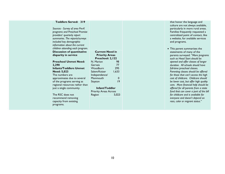#### **Toddlers Served: 319**

*Sources - Survey of area Pre-K programs and Preschool Promise providers' quarterly report summaries. The reports/surveys included key demographic information about the current children attending each program.* **Discussion of quantitative disparity in service**

#### **Preschool Unmet Need: 2,290 Infants/Toddlers Unmet Need: 5,023** The numbers are approximates due to several of the programs serving as regional resources rather than just a single community.

The RSC does not recommend removing capacity from existing programs.

#### **Current Need in Priority Areas Preschool: 2,122** N. Marion 98 Gervais 77

Woodburn 295 Salem/Keizer 1.633 Independence/ Monmouth 0 Stayton 19

#### **Infant/Toddler**

Priority Areas Across Region 5,023

that honor the language and culture are not always available, particularly in more rural areas. Families frequently requested a centralized point of contact, like a website, for available services and programs.

• This parent summarizes the statements of many of the parents surveyed: *"More programs such as Head Start should be opened and offer classes of longer duration. All schools should have full-time preschool classes. Parenting classes should be offered for those that can't access the high cost of childcare. Childcare should be lower cost, but offer high quality care. More financial help should be offered for all parents from a state fund that can cover a part of the bill for childcare and is available for everyone and doesn't depend on race, color or migrant status."*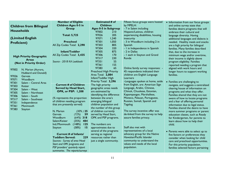|                                 | <b>Number of Eligible</b>       | <b>Estimated # of</b>          | Fifteen focus groups were hosted   | • Information from our focus groups  |
|---------------------------------|---------------------------------|--------------------------------|------------------------------------|--------------------------------------|
| <b>Children from Bilingual</b>  | <b>Children Ages 0-5 in</b>     | <b>Children</b>                | by MPELH:                          | and online survey state that         |
|                                 | <b>Group</b>                    | <b>Ages 0-5 in Subgroup</b>    | - 7 in Salem including             | families desire programs that will   |
| <b>Households</b>               |                                 | 97002<br>210                   | Hispanic/Latinos, children         | embrace their cultural and           |
|                                 | <b>Total: 5,725</b>             | 97026<br>205                   | experiencing disabilities, housing | language diversity. Having           |
| (Limited English                |                                 | 97071<br>1,240                 | insecurity                         | additional languages and dialects is |
| <b>Proficient)</b>              | <b>Preschool</b>                | 97301<br>1,050                 | - 3 in Woodburn including 2 in     | needed. Healthy meals and snacks     |
|                                 | All Zip Codes Total: 2,290      | 97303<br>805                   | Spanish                            | are a high priority for bilingual    |
|                                 |                                 | 320<br>97304                   | - I in Independence in Spanish     | families. Many families described    |
|                                 | Infant/Toddler                  | 97305<br>875                   | - 2 in Dallas                      | that, due to the increase in         |
| <b>High Priority Geographic</b> | All Zip Codes Total: 3,435      | 97306<br>170                   | - I each in Stayton and Grand      | minimum wage and/or overtime,        |
| <b>Areas</b>                    |                                 | 97317<br>230                   | Ronde                              | their income is slightly above       |
| (Not in Priority Order)         | Source - 2018 KA Lookback       | 97351<br>55                    |                                    | program eligibility. Families        |
|                                 |                                 | 97361<br>155                   |                                    | reported needing a program that      |
| 97002<br>N. Marion (Aurora,     |                                 | 65<br>97383                    | Online family survey responses: -  | aligned with work hours and          |
| Hubbard and Donald)             |                                 | <b>Preschool High Priority</b> | 45 respondents indicated their     | longer hours to support working      |
| 97026<br>Gervais                |                                 | Area Total: 2,084              | children are English Language      | families.                            |
| 97071<br>Woodburn               |                                 | Infant/Toddler High            | Learners                           |                                      |
| 97301<br>Salem - Central Area   |                                 | Priority Total: 3,296          | -Languages spoken at home, aside   | • Families are challenging to        |
| 97303<br>Keizer                 | <b>Current # of Children</b>    | The high priority              | from English, are: American Sign   | navigate, and suggests a centralized |
| 97304<br>Salem - West           | Served by Head Start,           | geographic areas needs         | Language, Arabic, Chinese,         | clearing house of information on     |
| 97305<br>Salem - Northeast      | <b>OPK, or PSP: 1,208</b>       | are estimated by               | Chinuk, Chuukese, Estonian,        | programs and what they offer.        |
| 97306<br>Salem - South          |                                 | identifying the difference     | Kapampangan, Marshallese,          | Families shared that they are not    |
| 97317<br>Salem - Southeast      | (% represents the proportion    | between the area's             | Mixteco, Palauan, Portuguese,      | aware of how to locate programs      |
| 97351<br>Independence           | of children needing program     | emerging bilingual             | Russian, Somali, Spanish and       | and a fear of offering personal      |
| 97361<br>Monmouth               | that are presently served)      | children population and        | <b>Tagalog</b>                     | information due to legal status.     |
| 97383<br>Stayton                |                                 | the number of this group       |                                    | Families shared the desire to have   |
|                                 | N. Marion<br>$(30\%)$ 25        | of children currently          | The survey incentive offer was     | more summer programs or parent       |
|                                 | (72%)<br>59<br>Gervais          | served by Head Start,          | de-linked from the survey to help  | education classes, such as Ready     |
|                                 | Woodburn<br>$(64%)$ 318         | OPK and PSP programs.          | assure families privacy.           | for Kindergarten, for parents to     |
|                                 | (35%)<br>Salem/Keizer<br>484    |                                |                                    | learn about how to help their        |
|                                 | (148%)<br>Ind./Monmouth<br>125  | The numbers are                |                                    | child.                               |
|                                 | (58%)<br>15<br>Stayton          | approximates due to            | Staff also met with                |                                      |
|                                 |                                 | several of the programs        | representatives of a local         | • Parents were able to select up to  |
|                                 | <b>Current # of Infants/</b>    | serving as regional            | advocacy group for the Native      | five factors or preferences they     |
|                                 | 229<br><b>Toddlers Served:</b>  | resources rather than          | Hawaiian/Pacific Islander          | consider when looking for child      |
|                                 | Sources - Survey of area Head   | just a single community.       | community to understand the        | care and preschool opportunities.    |
|                                 | Start and OPK programs and      |                                | values and needs of the local      | For this priority population,        |
|                                 | PSP providers' quarterly report |                                | population.                        | families selected factors pertaining |
|                                 | summaries. The reports/surveys  |                                |                                    |                                      |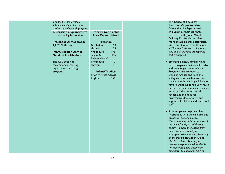| included key demographic          |                              |  |
|-----------------------------------|------------------------------|--|
| information about the current     |                              |  |
| children attending each program.  |                              |  |
| <b>Discussion of quantitative</b> | <b>Priority Geographic</b>   |  |
| disparity in service              | <b>Area Current Need:</b>    |  |
|                                   |                              |  |
| <b>Preschool Unmet Need:</b>      | <b>Preschool</b>             |  |
| 1,082 Children                    | 59<br>N. Marion              |  |
|                                   | 23<br>Gervais                |  |
| <b>Infant/Toddler Unmet</b>       | 178<br>Woodburn              |  |
| Need: 3,435 Children              | 855<br>Salem/Keizer          |  |
|                                   | Independence/                |  |
| The RSC does not                  | Monmouth<br>$\pmb{0}$        |  |
| recommend removing                | $\overline{1}$<br>Stayton    |  |
| capacity from existing            |                              |  |
| programs.                         | Infant/Toddler               |  |
|                                   | <b>Priority Areas Across</b> |  |
|                                   | Region<br>3,296              |  |
|                                   |                              |  |
|                                   |                              |  |
|                                   |                              |  |
|                                   |                              |  |
|                                   |                              |  |
|                                   |                              |  |
|                                   |                              |  |
|                                   |                              |  |
|                                   |                              |  |
|                                   |                              |  |
|                                   |                              |  |
|                                   |                              |  |
|                                   |                              |  |
|                                   |                              |  |
|                                   |                              |  |
|                                   |                              |  |
|                                   |                              |  |
|                                   |                              |  |
|                                   |                              |  |
|                                   |                              |  |
|                                   |                              |  |
|                                   |                              |  |

**Sense of Security, Learning Opportunities**, ved up by **Equity and Inclusion** as their top three rs. The Regional Mixed ery Profile Matrix offers details on these categories. parent wrote that they want a *"Licensed Facility – so I know it is safe and all incidents are reported and investigated."*

- ging bilingual families want programs that are affordable ave longer hours of care. ams that are open to ing families and have the  $\sigma$  to serve families just over come threshold/guidelines or financial support is very much ed in the community. Families s priority population also nized the need for essional development and ort of childcare and preschool
- her parent explained her ations with the childcare and hool system like this: *"Because of one dollar or because of the type of work, a child doesn't qualify. I believe they should think more about the diversity of employees, schedules and, depending on the income, families should be able to "co -pay". One way or*   $er$  everyone should be eligible *for good quality and trustworthy programs. You shouldn't have to*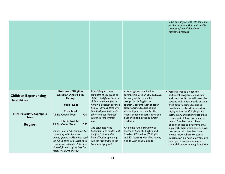|                                                     |                                                                                                                                                                                                                                                                            |                                                                                                                                                                                  |                                                                                                                                                                                            | leave one of your kids with someone<br>just because your kids don't qualify<br>because of one of the above<br>mentioned reasons."                                                                                                                     |
|-----------------------------------------------------|----------------------------------------------------------------------------------------------------------------------------------------------------------------------------------------------------------------------------------------------------------------------------|----------------------------------------------------------------------------------------------------------------------------------------------------------------------------------|--------------------------------------------------------------------------------------------------------------------------------------------------------------------------------------------|-------------------------------------------------------------------------------------------------------------------------------------------------------------------------------------------------------------------------------------------------------|
| <b>Children Experiencing</b><br><b>Disabilities</b> | <b>Number of Eligible</b><br><b>Children Ages 0-5 in</b><br>Group<br><b>Total: 2,325</b>                                                                                                                                                                                   | Establishing accurate<br>estimates of this group of<br>children is difficult because<br>children are identified as<br>having a disability at varied<br>points. Some children are | A focus group was held in<br>partnership with WESD EI/ECSE.<br>At many of the other focus<br>groups (both English and<br>Spanish), parents with children<br>experiencing disabilities also | • Families shared a need for<br>additional programs (child care<br>and preschool) that will meet the<br>specific and unique needs of their<br>child experiencing disabilities.<br>Families articulated the need for                                   |
| <b>High Priority Geographic</b><br>Area             | <b>Preschool</b><br>All Zip Codes Total<br>930<br>Infant/Toddler                                                                                                                                                                                                           | identified from birth while<br>others are not identified<br>until their kindergarten<br>year.                                                                                    | shared input on their families'<br>needs; those concerns have also<br>been included in the summary<br>feedback.                                                                            | highly trained staff, high quality<br>instruction, and having resources<br>to support children with special<br>needs. Families do not have                                                                                                            |
| <b>Region</b>                                       | All Zip Codes Total<br>1,395<br>Source - 2018 KA Lookback. For<br>consistency with the other<br>priority groups, MPELH has used<br>the KA Children with Disabilities<br>count as an estimate of the level<br>of need for each of the first five<br>years. The number of KA | The estimated need<br>population was divided with<br>the first 3/5ths in the<br>Infant/Toddler age group<br>and the last 2/5ths in the<br>Preschool age group.                   | An online family survey was<br>shared in Spanish, English and<br>Russian; 77 families (65 English<br>and 12 Spanish) identified having<br>a child with special needs.                      | enough access to programs that<br>align with their work hours. It was<br>recognized that families do not<br>always know where to access<br>information on how programs are<br>equipped to meet the needs of<br>their child experiencing disabilities. |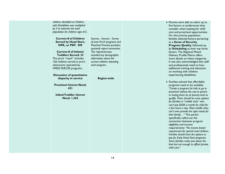| children identified as Children<br>with Disabilities was multiplied<br>by 5 to estimate the total<br>population for children ages 0-5.                                                                                                                           |                                                                                                                                                                                                                                                   |
|------------------------------------------------------------------------------------------------------------------------------------------------------------------------------------------------------------------------------------------------------------------|---------------------------------------------------------------------------------------------------------------------------------------------------------------------------------------------------------------------------------------------------|
| <b>Current # of Children</b><br><b>Served by Head Start,</b><br>OPK, or PSP: 509<br>Current # of Infants/<br><b>Toddlers Served: 33</b><br>The pre-k "reach" includes<br>156 children served in pre-k<br>classrooms operated by<br><b>WESD EI/ECSE programs.</b> | Sources - Sources - Survey<br>of area Pre-K programs and<br>Preschool Promise providers<br>quarterly report summaries.<br>The reports/surveys<br>included key demographic<br>information about the<br>current children attending<br>each program. |
| <b>Discussion of quantitative</b><br>disparity in service                                                                                                                                                                                                        | <b>Region-wide</b>                                                                                                                                                                                                                                |
|                                                                                                                                                                                                                                                                  |                                                                                                                                                                                                                                                   |
| <b>Preschool Unmet Need:</b><br>421                                                                                                                                                                                                                              |                                                                                                                                                                                                                                                   |
| <b>Infant/Toddler Unmet</b><br><b>Need: 1,362</b>                                                                                                                                                                                                                |                                                                                                                                                                                                                                                   |
|                                                                                                                                                                                                                                                                  |                                                                                                                                                                                                                                                   |

- Parents were able to select up to five factors or preferences they consider when looking for child care and preschool opportunities. For this priority population, families selected factors pertaining to a **Sense of Security**, **Program Quality**, followed up by **Scheduling** as their top three factors. The Regional Mixed Delivery Profile Matrix offers more details on these categories. It was also acknowledged that staff and professionals need to have additional training and education on working with children experiencing disabilities.
- Families echoed that affordable programs need to be available. *"Create a program for kids to go to preschool without the cost to parent or having them be at poverty level to qualify. There should be more options for families in "middle class" who can't pay \$500 a month for child for a few hours a day. Most middle class can't even provide the right meals for their family…"* This parent specifically called out the connection between program eligibility and income requirements: *"No income based requirement for special need children. Families should have the options to pay for Early Head Start programs. Some families make just above the limit but not enough to afford private child care."*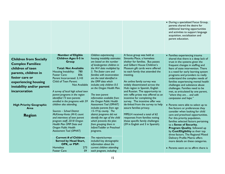|                                 |                                                             |                                                            |                                                                     | • During a specialized Focus Group,<br>parents shared the desire for<br>additional learning opportunities<br>and activities to support language<br>acquisition, socialization and<br>parent education. |
|---------------------------------|-------------------------------------------------------------|------------------------------------------------------------|---------------------------------------------------------------------|--------------------------------------------------------------------------------------------------------------------------------------------------------------------------------------------------------|
|                                 | <b>Number of Eligible</b>                                   | Children experiencing                                      | A focus group was held at                                           | • Families experiencing trauma                                                                                                                                                                         |
| <b>Children from Socially</b>   | <b>Children Ages 0-5 in</b>                                 | housing instability estimates                              | Simonka Place, a homeless                                           | shared that there is a deep lack of                                                                                                                                                                    |
| <b>Complex Families:</b>        | Group                                                       | are based on the number<br>of kindergarten children in     | shelter for families. Bus passes<br>and Gilbert House Children's    | trust in the systems given the<br>frequent changes in staffing and                                                                                                                                     |
| children of teen                | <b>Total: Not Available</b>                                 | the M-V data multiplied by                                 | Museum gift cards were offered                                      | fears of state intervention. There                                                                                                                                                                     |
| parents, children in            | Housing Instability:<br>780                                 | 5. The foster care and                                     | to each family that attended the                                    | is a need for early learning system                                                                                                                                                                    |
| foster care or                  | <b>Foster Care:</b><br>836<br>Parent Incarcerated: 3,143    | families with incarceration<br>are the total identified in | meeting.                                                            | programs and providers to really                                                                                                                                                                       |
| experiencing housing            | Child of Teen Parent:                                       | the OPIP data which                                        | An online family survey was                                         | understand the complex needs of<br>families experiencing mental health                                                                                                                                 |
|                                 | Not Available                                               | includes only children 0-5                                 | widely disseminated across the                                      | challenges and substance abuse                                                                                                                                                                         |
| instability and/or parent       |                                                             | on the Oregon Health Plan.                                 | Hub region in Spanish, English                                      | challenges. Families need to be                                                                                                                                                                        |
| incarceration                   | A survey of local high school teen                          |                                                            | and Russian. The opportunity to                                     | met, as articulated by one parent,                                                                                                                                                                     |
|                                 | parent programs in the region<br>identified 73 teen parents | The teen parent<br>information available from              | win raffle prizes was offered as an<br>incentive for completing the | "where they are and with<br>compassion and hope."                                                                                                                                                      |
|                                 | enrolled in the programs with 59                            | the Oregon Public Health                                   | survey. The incentive offer was                                     |                                                                                                                                                                                                        |
| <b>High Priority Geographic</b> | children also attending.                                    | Assessment Tool (OPHAT)                                    | de-linked from the survey to help                                   | • Parents were able to select up to                                                                                                                                                                    |
| Area                            |                                                             | includes parents from age                                  | assure families privacy.                                            | five factors or preferences they                                                                                                                                                                       |
|                                 | Sources - School District<br>McKinney-Vento (M-V) count     | 15-19 by county. The<br>district programs did not          | MPELH received a total of 62                                        | consider when looking for child                                                                                                                                                                        |
| <b>Region</b>                   | and interviews of teen parent                               | identify the age of the child                              | responses from families noting                                      | care and preschool opportunities.<br>For this priority population,                                                                                                                                     |
|                                 | program staff, 2018 Oregon                                  | which prevents the plan                                    | these specific family challenges                                    | families selected factors pertaining                                                                                                                                                                   |
|                                 | Health Plan OPIP Data and                                   | from grouping them in                                      | (59 in English and 3 in Spanish).                                   | to a Sense of Security,                                                                                                                                                                                |
|                                 | Oregon Public Health                                        | Infant/Toddler or Preschool                                |                                                                     | Program Quality, followed up                                                                                                                                                                           |
|                                 | Assessment Tool (OPHAT)                                     | programs.                                                  |                                                                     | by Cost/Eligibility as their top                                                                                                                                                                       |
|                                 | <b>Current # of Children</b>                                | The reports/surveys                                        |                                                                     | three factors. The Regional Mixed<br>Delivery Profile Matrix offers                                                                                                                                    |
|                                 | <b>Served by Head Start,</b>                                | included key demographic                                   |                                                                     | more details on these categories.                                                                                                                                                                      |
|                                 | OPK, or PSP:                                                | information about the                                      |                                                                     |                                                                                                                                                                                                        |
|                                 | 273<br><b>Homeless</b>                                      | current children attending                                 |                                                                     | • Parents went on to affirm there is                                                                                                                                                                   |
|                                 | 59<br><b>Foster Care</b>                                    | each program, including                                    |                                                                     |                                                                                                                                                                                                        |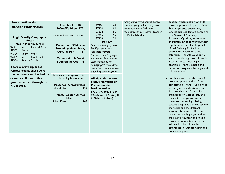| Hawaiian/Pacific                |                                   |                                           |     | family survey was shared across   | consider when looking for child      |
|---------------------------------|-----------------------------------|-------------------------------------------|-----|-----------------------------------|--------------------------------------|
| <b>Islander Households</b>      | Preschool: 148                    | 97301                                     | 140 | the Hub geographic area; seven    | care and preschool opportunities.    |
|                                 | Infant/Toddler: 272               | 97303                                     | 80  | responses identified their        | For this priority population,        |
|                                 |                                   | 97304                                     | 55  | race/ethnicity as Native Hawaiian | families selected factors pertaining |
| <b>High Priority Geographic</b> | Sources - 2018 KA Lookback        | 97305                                     | 95  | or Pacific Islander.              | to a Sense of Security,              |
| <b>Areas</b>                    |                                   | 97306                                     | 50  |                                   | Program Quality, followed up         |
| (Not in Priority Order)         |                                   | <b>Total: 420</b>                         |     |                                   | by Family Engagement as their        |
| 97301<br>Salem - Central Area   | <b>Current # of Children</b>      | Sources - Survey of area                  |     |                                   | top three factors. The Regional      |
| 97303<br>Keizer                 | <b>Served by Head Start,</b>      | Pre-K programs and                        |     |                                   | Mixed Delivery Profile Matrix        |
| 97304<br>Salem - West           | OPK, or PSP:<br>$\overline{14}$   | <b>Preschool Promise</b>                  |     |                                   | offers more details on these         |
| 97305<br>Salem - Northeast      |                                   | providers' quarterly report               |     |                                   | categories. Parents went on to       |
| 97306<br>Salem - South          | Current # of Infants/             | summaries. The reports/                   |     |                                   | share that the high cost of care is  |
|                                 | <b>Toddlers Served: 4</b>         | surveys included key                      |     |                                   | a barrier to participating in        |
| There are five zip codes        |                                   | demographic information                   |     |                                   | programs. There is a need and        |
| represented as these were       |                                   | about the current children                |     |                                   | desire for programs that align with  |
| the communities that had six    |                                   | attending each program.                   |     |                                   | cultural values.                     |
|                                 | <b>Discussion of quantitative</b> |                                           |     |                                   | • Families shared that the cost of   |
| or more children in this        | disparity in service              | All zip codes where<br>Native Hawaiian or |     |                                   | programs prevents them from          |
| group identified through the    | <b>Preschool Unmet Need:</b>      | <b>Pacific Islander</b>                   |     |                                   | participating. There is also a need  |
| <b>KA in 2018.</b>              | Salem/Keizer<br>134               | families reside:                          |     |                                   | for early care, and extended care    |
|                                 |                                   | 97301, 97303, 97304,                      |     |                                   | for their children. Parents find     |
|                                 | <b>Infant/Toddler Unmet</b>       | 97305, and 97306 (all                     |     |                                   | themselves on waiting lists, and     |
|                                 | Need:                             | in Salem-Keizer)                          |     |                                   | the cost of programs prevent         |
|                                 | Salem/Keizer<br>268               |                                           |     |                                   | them from attending. Having          |
|                                 |                                   |                                           |     |                                   | cultural programs that line up with  |
|                                 |                                   |                                           |     |                                   | the values and the different         |
|                                 |                                   |                                           |     |                                   | languages is desired. There are      |
|                                 |                                   |                                           |     |                                   | many different languages within      |
|                                 |                                   |                                           |     |                                   | the Native Hawaiian and Pacific      |
|                                 |                                   |                                           |     |                                   | Islander communities; attention      |
|                                 |                                   |                                           |     |                                   | will need to be paid to the          |
|                                 |                                   |                                           |     |                                   | differences in language within this  |
|                                 |                                   |                                           |     |                                   | population group.                    |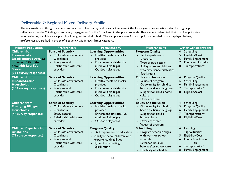## Deliverable 2: Regional Mixed Delivery Profile

The information in this grid came from only the online survey and does not represent the focus group conversations (for focus group reflections, see the "Findings from Family Engagement" in the 5<sup>th</sup> column in the previous grid). Respondents identified their top five priorities when selecting a childcare or preschool program for their child. The top preferences for each priority population are displayed below; preferences are ranked in order of frequency within each larger category.

| <b>Priority Population</b>                                                                                                                                   | <b>Preference #1</b>                                                                                                                                                                                      | <b>Preference #2</b>                                                                                                                                          | <b>Preference #3</b>                                                                                                                                                          | <b>Other Considerations</b>                                                                                                                                  |
|--------------------------------------------------------------------------------------------------------------------------------------------------------------|-----------------------------------------------------------------------------------------------------------------------------------------------------------------------------------------------------------|---------------------------------------------------------------------------------------------------------------------------------------------------------------|-------------------------------------------------------------------------------------------------------------------------------------------------------------------------------|--------------------------------------------------------------------------------------------------------------------------------------------------------------|
| <b>Children from</b><br><b>Economically</b><br>Disadvantaged Area, at<br>or below 185% of the<br>FPL, with Low KA<br><b>Scores</b><br>(354 survey responses) | <b>Sense of Security</b><br>Child-safe environment<br><b>Cleanliness</b><br>Safety record<br>Relationship with care<br>provider                                                                           | <b>Learning Opportunities</b><br>Healthy meals or snacks<br>provided<br>Enrichment activities (i.e.<br>music or field trips)<br>Outdoor play areas            | <b>Program Quality</b><br>- Staff experience or<br>education<br>- Type of care setting<br>- Ability to serve children<br>who experience disabilities<br>- Spark rating        | Scheduling<br>4.<br>Eligibility/Cost<br>5.<br><b>Family Engagement</b><br>6.<br>Equity and Inclusion<br>7.<br>8.<br>Transportation*                          |
| <b>Children from</b><br><b>Hispanic/Latino</b><br><b>Households</b><br>(207 survey responses)                                                                | <b>Sense of Security</b><br>Child-safe environment<br><b>Cleanliness</b><br>$\blacksquare$<br>Safety record<br>Relationship with care<br>$\blacksquare$<br>provider                                       | <b>Learning Opportunities</b><br>Healthy meals or snacks<br>provided<br>Enrichment activities (i.e.<br>music or field trips)<br>Outdoor play areas            | <b>Equity and Inclusion</b><br>- Values of program<br>- Opportunity for child to<br>hear a particular language<br>- Support for child's home<br>culture<br>Diversity of staff | Program Quality<br>4.<br>Scheduling<br>5.<br><b>Family Engagement</b><br>6.<br>7.<br>Transportation*<br>8.<br>Eligibility/Cost                               |
| <b>Children from</b><br><b>Emerging Bilingual</b><br><b>Households</b><br>(44 survey responses)                                                              | <b>Sense of Security</b><br>Child-safe environment<br><b>Cleanliness</b><br>$\blacksquare$<br>Safety record<br>$\blacksquare$<br>Relationship with care<br>$\overline{\phantom{a}}$<br>provider           | <b>Learning Opportunities</b><br>Healthy meals or snacks<br>provided<br>Enrichment activities (i.e.<br>music or field trips)<br>Outdoor play areas            | <b>Equity and Inclusion</b><br>Opportunity for child to<br>hear a particular language<br>Support for child's<br>home culture<br>Diversity of staff<br>- Values of program     | Scheduling<br>4.<br>Program Quality<br>5.<br>Family Engagement<br>6.<br>Transportation*<br>7.<br>Eligibility/Cost<br>8.                                      |
| <b>Children Experiencing</b><br><b>Disabilities</b><br>(77 survey responses)                                                                                 | <b>Sense of Security</b><br>Child-safe environment<br><b>Cleanliness</b><br>$\blacksquare$<br>Safety record<br>$\overline{\phantom{a}}$<br>Relationship with care<br>$\overline{\phantom{a}}$<br>provider | <b>Program Quality</b><br>Staff experience or education<br>Ability to serve children who<br>experience disabilities<br>Type of care setting<br>- Spark rating | <b>Scheduling</b><br>Program schedule aligns<br>with work or school<br>schedule<br>Extended-hour or<br>before/after school care<br>Flexibility of schedule                    | 4. Learning<br>Opportunities<br>Eligibility/Cost<br>5.<br>Equity & Inclusion<br>6.<br>$-$ tie $-$<br>Transportation*<br>6.<br>8.<br><b>Family Engagement</b> |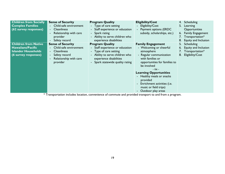| <b>Children from Socially</b><br><b>Complex Families</b><br>(62 survey responses)                             | <b>Sense of Security</b><br>- Child-safe environment<br>- Cleanliness<br>Relationship with care<br>provider<br>Safety record      | <b>Program Quality</b><br>- Type of care setting<br>- Staff experience or education<br>- Spark rating<br>- Ability to serve children who<br>experience disabilities                   | <b>Eligibility/Cost</b><br>Eligibility/Cost<br>- Payment options (ERDC<br>subsidy, scholarships, etc.)                                                                                                                                                                                                                                  | Scheduling<br>4.<br>5. Learning<br>Opportunities<br>6. Family Engagement<br>7. Transportation*<br>Equity and Inclusion |
|---------------------------------------------------------------------------------------------------------------|-----------------------------------------------------------------------------------------------------------------------------------|---------------------------------------------------------------------------------------------------------------------------------------------------------------------------------------|-----------------------------------------------------------------------------------------------------------------------------------------------------------------------------------------------------------------------------------------------------------------------------------------------------------------------------------------|------------------------------------------------------------------------------------------------------------------------|
| <b>Children from Native</b><br><b>Hawaiians/Pacific</b><br><b>Islander Households</b><br>(6 survey responses) | <b>Sense of Security</b><br>- Child-safe environment<br><b>Cleanliness</b><br>Safety record<br>Relationship with care<br>provider | <b>Program Quality</b><br>- Staff experience or education<br>- Type of care setting<br>- Ability to serve children who<br>experience disabilities<br>- Spark statewide quality rating | <b>Family Engagement</b><br>- Welcoming or cheerful<br>atmosphere<br>- Regular communication<br>with families or<br>opportunities for families to<br>be involved<br>- tie -<br><b>Learning Opportunities</b><br>- Healthy meals or snacks<br>provided<br>- Enrichment activities (i.e.<br>music or field trips)<br>- Outdoor play areas | Scheduling<br>5.<br>6. Equity and Inclusion<br>7. Transportation*<br>Eligibility/Cost<br>8.                            |

\* Transportation includes location, convenience of commute and provided transport to and from a program.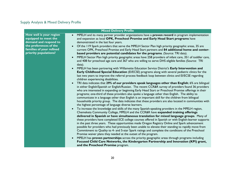## Supply Analysis & Mixed Delivery Profile

| <b>Mixed Delivery Profile</b>                                                                                                                           |                                                                                                                                                                                                                                                                                                                                                                                                                                                                                                                                                                                                                                                                                                                                                                                                                                                                                                                                                                                                                                                                                                                                                                                                                                                                                                                                                                                                                                                                                                                                                                                                                                                                                                                                                                                                                                                                                                                                                                                                                                                                                                                                                                                                                                                                                                                                                                                                                                                                                                                                                                                                                                                                                                                                                                                                                                                                                                                       |  |  |  |
|---------------------------------------------------------------------------------------------------------------------------------------------------------|-----------------------------------------------------------------------------------------------------------------------------------------------------------------------------------------------------------------------------------------------------------------------------------------------------------------------------------------------------------------------------------------------------------------------------------------------------------------------------------------------------------------------------------------------------------------------------------------------------------------------------------------------------------------------------------------------------------------------------------------------------------------------------------------------------------------------------------------------------------------------------------------------------------------------------------------------------------------------------------------------------------------------------------------------------------------------------------------------------------------------------------------------------------------------------------------------------------------------------------------------------------------------------------------------------------------------------------------------------------------------------------------------------------------------------------------------------------------------------------------------------------------------------------------------------------------------------------------------------------------------------------------------------------------------------------------------------------------------------------------------------------------------------------------------------------------------------------------------------------------------------------------------------------------------------------------------------------------------------------------------------------------------------------------------------------------------------------------------------------------------------------------------------------------------------------------------------------------------------------------------------------------------------------------------------------------------------------------------------------------------------------------------------------------------------------------------------------------------------------------------------------------------------------------------------------------------------------------------------------------------------------------------------------------------------------------------------------------------------------------------------------------------------------------------------------------------------------------------------------------------------------------------------------------------|--|--|--|
| How well is your region<br>equipped to meet the<br>demand and respond to<br>the preferences of the<br>families of your refined<br>priority populations? | MPELH and its many partner provider organizations have a <b>proven record</b> in program implementation<br>$\bullet$<br>and expansion as local OPK, Preschool Promise and Early Head Start programs have<br>demonstrated in the last four years.<br>Of the 119 Spark providers that serve the MPELH Sector Plan high priority geographic areas, 35 are<br>current OPK, Preschool Promise and Early Head Start partners and 84 additional home and center-<br>based providers are potential candidates for the programs. (Source: TRI data).<br>MPELH Sector Plan high priority geographic areas have 258 providers of infant care, 351 of toddler care,<br>$\bullet$<br>and 408 for preschool age care and 367 who are willing to serve DHS eligible families (Source: TRI<br>data).<br>MPELH has been partnering with Willamette Education Service District's Early Intervention and<br>$\bullet$<br><b>Early Childhood Special Education</b> (EI/ECSE) programs along with several pediatric clinics for the<br>last two years to improve the referral process feedback loop between clinics and EI/ECSE regarding<br>children experiencing disabilities.<br>TRI data indicates that 29% of our providers speak languages other than English; 6% are bilingual<br>$\bullet$<br>in either English/Spanish or English/Russian. The recent CCR&R survey of providers found 36 providers<br>who are interested in expanding or beginning Early Head Start or Preschool Promise offerings in their<br>programs; one-third of these providers also spoke a language other than English. The ability to<br>communicate in a language other than English is an important skill for the children from bilingual<br>households priority group. The data indicates that these providers are also located in communities with<br>the highest percentage of language diverse learners.<br>To increase the knowledge and skills of the many Spanish-speaking providers in the MPELH region,<br>$\bullet$<br>Chemeketa Community College, MPELH and the CCR&R have expanded training offerings<br>delivered in Spanish or have simultaneous translation for mixed language groups. Many of<br>these providers have completed ECE college courses offered in Spanish or with English-learner supports<br>in the past three years. These opportunities made Oregon Registry Online and Spark advancement<br>possible for providers who had previously been unable to elevate their standing to rapidly move from<br>Commitment to Quality to 4- and 5-star Spark ratings and complete the conditions of the Preschool<br>Promise waiver plans they needed at the outset of the program.<br>MPELH has proven partnerships across the priority geographic areas through programs including<br>$\bullet$<br>Focused Child Care Networks, the Kindergarten Partnership and Innovation (KPI) grant,<br>and the Preschool Promise program. |  |  |  |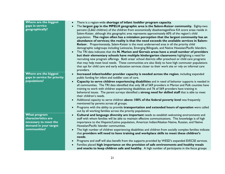| Where are the biggest<br>gaps in service<br>geographically?                                                  | There is a region-wide shortage of infant /toddler program capacity.<br>$\bullet$<br>The largest gap in the MPELH geographic area is the Salem-Keizer community. Eighty-two<br>$\bullet$<br>percent (2,662 children) of the children from economically disadvantaged/low KA score areas reside in<br>Salem-Keizer, although this geographic area represents approximately 60% of the region's child<br>population. The region often has a mistaken perception that the largest community has an<br>abundance of services; the reality is that the need exceeds the available services in Salem-<br>Keizer. Proportionately, Salem-Keizer is the most underserved area in all the priority child<br>demographic subgroups including Latinos/as, Emerging Bilinguals, and Native Hawaiian/Pacific Islanders.<br>The TRI data indicates that the N. Marion and Gervais areas have a small number of providers<br>$\bullet$<br>but their elementary schools have multiple kindergarten classrooms highlighting a need for<br>recruiting new program offerings. Both areas' school districts offer preschool or child care programs |
|--------------------------------------------------------------------------------------------------------------|--------------------------------------------------------------------------------------------------------------------------------------------------------------------------------------------------------------------------------------------------------------------------------------------------------------------------------------------------------------------------------------------------------------------------------------------------------------------------------------------------------------------------------------------------------------------------------------------------------------------------------------------------------------------------------------------------------------------------------------------------------------------------------------------------------------------------------------------------------------------------------------------------------------------------------------------------------------------------------------------------------------------------------------------------------------------------------------------------------------------------------|
|                                                                                                              | that may help meet local needs. These communities are also likely to have high commuter populations<br>that opt for child care and early education services closer to their work site or rely on informal care<br>providers.                                                                                                                                                                                                                                                                                                                                                                                                                                                                                                                                                                                                                                                                                                                                                                                                                                                                                                   |
| Where are the biggest<br>gaps in service for priority<br>populations?                                        | Increased infant/toddler provider capacity is needed across the region, including expanded<br>$\bullet$<br>public funding for infant and toddler cost of care.<br>Capacity to serve children experiencing disabilities and in need of behavior supports is needed in<br>$\bullet$<br>all communities. The TRI data identified that only 38 of 569 providers in Marion and Polk counties have<br>training to work with children experiencing disabilities and 76 of 569 providers have training in<br>behavioral issues. The parent surveys identified a strong need for skilled staff that is able to meet<br>their children's needs.<br>Additional capacity to serve children above 100% of the federal poverty level was frequently<br>$\bullet$<br>mentioned by parents across all groups.<br>Programs with the ability to provide transportation and extended hours of operation were called<br>$\bullet$<br>out by all working families across the priority populations.                                                                                                                                                  |
| <b>What program</b><br>characteristics are<br>necessary to meet the<br>demand in your target<br>communities? | Cultural and language diversity are important needs to establish welcoming environments and<br>$\bullet$<br>staff with whom families will be able to maintain effective communications. This knowledge is of high<br>importance to the Hispanic/Latino population, American Indian/Alaskan Native, Russian, and Native<br>Hawaiian/Pacific Islander communities.<br>The high number of children experiencing disabilities and children from socially complex families indicate<br>$\bullet$<br>that providers will need to have training and workplace skills to meet these children's<br>needs.<br>Programs and staff will also benefit from the supports provided by WESD's expanded EI/ECSE services.<br>$\bullet$<br>Families placed high importance on the provision of safe environments and healthy meals<br>and snacks to keep children safe and healthy. A high number of participants in the focus groups                                                                                                                                                                                                            |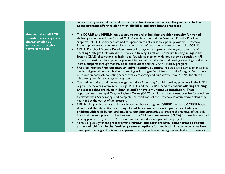|                                                                                                                      | and the survey indicated the need for a central location or site where they are able to learn<br>about program offerings along with eligibility and enrollment processes.                                                                                                                                                                                                                                                                                                                                                                                                                                                                                                                                                                                                                                                                                                                                                                                                                                                                                                                                                                                                                                                                                                                                                                                                                                                                                                                                                                                                                                                                                                                                                                                                                                                                                                                                                                                                                                                                                                                                                                                                                                                                                                                                                                                                                                                                                                                                                                                                                                                                                                        |
|----------------------------------------------------------------------------------------------------------------------|----------------------------------------------------------------------------------------------------------------------------------------------------------------------------------------------------------------------------------------------------------------------------------------------------------------------------------------------------------------------------------------------------------------------------------------------------------------------------------------------------------------------------------------------------------------------------------------------------------------------------------------------------------------------------------------------------------------------------------------------------------------------------------------------------------------------------------------------------------------------------------------------------------------------------------------------------------------------------------------------------------------------------------------------------------------------------------------------------------------------------------------------------------------------------------------------------------------------------------------------------------------------------------------------------------------------------------------------------------------------------------------------------------------------------------------------------------------------------------------------------------------------------------------------------------------------------------------------------------------------------------------------------------------------------------------------------------------------------------------------------------------------------------------------------------------------------------------------------------------------------------------------------------------------------------------------------------------------------------------------------------------------------------------------------------------------------------------------------------------------------------------------------------------------------------------------------------------------------------------------------------------------------------------------------------------------------------------------------------------------------------------------------------------------------------------------------------------------------------------------------------------------------------------------------------------------------------------------------------------------------------------------------------------------------------|
| <b>How would small ECE</b><br>providers meeting these<br>characteristics be<br>supported through a<br>network model? | The CCR&R and MPELH have a strong record of building provider capacity for mixed<br>$\bullet$<br>delivery care through the Focused Child Care Networks and the Preschool Promise Provider<br>supports. MPELH is very accustomed to operation of networks to support providers. Preschool<br>Promise providers function much like a network. All of this is done in concert with the CCR&R.<br>MPELH Preschool Promise Provider network program supports include group purchase of<br>$\bullet$<br>Teaching Strategies Gold assessment tools and training; Creative Curriculum training in English and<br>Spanish; CLASS observations in English and Spanish; connection with local schools through the KPI<br>project professional development opportunities; annual dental, vision and hearing screenings; and early<br>literacy supports through monthly book distributions and the SMART literacy program.<br>Preschool Promise Provider network administrative supports include sharing advice on insurance<br>$\bullet$<br>needs and general program budgeting, serving as fiscal agent/administrator of the Oregon Department<br>of Education contract, collecting data as well as reporting and fund draws from EGAMS, the state's<br>education grant funds management system.<br>To continue and expand the knowledge and skills of the many Spanish-speaking providers in the MPELH<br>$\bullet$<br>region, Chemeketa Community College, MPELH and the CCR&R need to continue offering training<br>and classes that are given in Spanish and/or have simultaneous translation. These<br>opportunities make rapid Oregon Registry Online (ORO) and Spark advancement possible for providers<br>to elevate their Spark ratings and complete the conditions of the Preschool Promise waiver plans they<br>may need at the outset of the program.<br>MPELH, along with the local children's behavioral health programs, WESD, and the CCR&R have<br>$\bullet$<br>developed the Care Connect project that links counselors with providers dealing with<br>children with high behavioral needs to develop strategies to prevent the removal of the child<br>from their current program. The Devereux Early Childhood Assessment (DECA) for Preschoolers tool<br>is being piloted this year with Preschool Promise providers as a part of this project.<br>Across all publicly funded pre-k programs, MPELH and partners have joined forces to recruit<br>$\bullet$<br>and enroll children in the families' preferred options for preschool. As a community, we have<br>developed branding and outreach campaigns to encourage families in registering children for preschool. |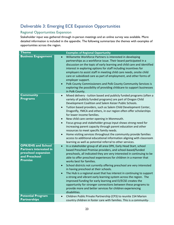## Deliverable 3: Emerging ECE Expansion Opportunities

## Regional Opportunities Expansion

Stakeholder input was gathered through in-person meetings and an online survey was available. More detailed information is included in the appendix. The following summarizes the themes with examples of opportunities across the region.

| <b>Theme</b>                                                                                                         | <b>Examples of Regional Opportunity</b>                                                                                                                                                                                                                                                                                                                                                                                                                                                                                                                                                                                                                                                                                                                                                                                                                                       |
|----------------------------------------------------------------------------------------------------------------------|-------------------------------------------------------------------------------------------------------------------------------------------------------------------------------------------------------------------------------------------------------------------------------------------------------------------------------------------------------------------------------------------------------------------------------------------------------------------------------------------------------------------------------------------------------------------------------------------------------------------------------------------------------------------------------------------------------------------------------------------------------------------------------------------------------------------------------------------------------------------------------|
| <b>Business Engagement</b>                                                                                           | Willamette Workforce Partners is interested in developing<br>$\bullet$<br>partnerships as a workforce issue. Their board participated in a<br>discussion on the topic of early learning and child care and identified<br>interest in exploring options for staff including incentives for<br>employers to assist staff in meeting child care needs, onsite child<br>care or subsidized care as part of employment, and other forms of<br>employer support.<br>Polk County Commissioners and Polk County Community Services is<br>$\bullet$<br>exploring the possibility of providing childcare to support businesses<br>in Polk County.                                                                                                                                                                                                                                       |
| <b>Community</b><br><b>Programs</b>                                                                                  | Mixed delivery - tuition based and publicly funded programs (often a<br>$\bullet$<br>variety of publicly funded programs) are part of Oregon Child<br>Development Coalition and Salem Keizer Public Schools.<br>Tuition based providers, such as Salem Child Development Center,<br>$\bullet$<br>Dragonfly, YMCA and others, in our region often offer scholarships<br>for lower income families.<br>New child care center opening in Monmouth.<br>$\bullet$<br>Focus group and stakeholder group input shows strong need for<br>$\bullet$<br>increasing parent capacity through parent education and other<br>resources to meet specific family needs.<br>Home visiting services throughout the community provide families<br>$\bullet$<br>access to additional educational information aligning with classroom<br>learning as well as potential referral to other services. |
| <b>OPK/EHS and School</b><br><b>Partners interested in</b><br>preschool expansion<br>and Preschool<br><b>Promise</b> | In a stakeholder group of all area OPK, Early Head Start, school<br>$\bullet$<br>based Preschool Promise providers, and school-based/funded<br>preschools, all indicated they are very interested in continuing to be<br>able to offer preschool experiences for children in a manner that<br>works best for families.<br>School districts not currently offering preschool are very interested<br>$\bullet$<br>in having preschool at their schools.<br>The Hub is a regional asset that has interest in continuing to support<br>a strong and vibrant early learning system across the region. The<br>improved funding for early learning and EI/ECSE creates the<br>opportunity for stronger connections between these programs to<br>provide more and better services for children experiencing<br>disabilities.                                                          |
| <b>Potential Program</b><br><b>Partnerships</b>                                                                      | Children Public Private Partnership (CP3) to reunite 154 Marion<br>$\bullet$<br>country children in foster care with families. This is a community-                                                                                                                                                                                                                                                                                                                                                                                                                                                                                                                                                                                                                                                                                                                           |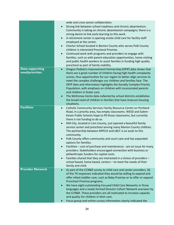|                                           | wide and cross-sector collaboration.<br>Strong link between school readiness and chronic absenteeism.<br>$\bullet$<br>Community is taking on chronic absenteeism campaigns; there is a<br>strong desire to link early learning to this work.<br>A retirement center is opening onsite child care for facility staff<br>$\bullet$<br>employed at the center.<br>Charter School located in Benton County who serves Polk County<br>$\bullet$<br>children is interested Preschool Promise.<br>Continued work with programs and providers to engage with<br>$\bullet$<br>families, such as with parent education opportunities, home visiting<br>and public health workers to assist families in funding high quality                                                                                                                                                                                                                                                 |
|-------------------------------------------|-------------------------------------------------------------------------------------------------------------------------------------------------------------------------------------------------------------------------------------------------------------------------------------------------------------------------------------------------------------------------------------------------------------------------------------------------------------------------------------------------------------------------------------------------------------------------------------------------------------------------------------------------------------------------------------------------------------------------------------------------------------------------------------------------------------------------------------------------------------------------------------------------------------------------------------------------------------------|
|                                           | preschool as part of family stability.                                                                                                                                                                                                                                                                                                                                                                                                                                                                                                                                                                                                                                                                                                                                                                                                                                                                                                                            |
| <b>Data supporting</b><br>need/priorities | Oregon Pediatric Improvement Partnership (OPIP) data shows that<br>$\bullet$<br>there are a great number of children facing high health complexity<br>scores, thus opportunities for our region to better align services to<br>meet the complex challenges our children and families face. The<br>OPIP data and information highlights the Socially Complex Priority<br>Population, with emphasis on children with incarcerated parents<br>and children in foster care.<br>The McKinney-Vento data collected by school districts establishes<br>$\bullet$<br>the broad need of children in families that have insecure housing<br>situations.                                                                                                                                                                                                                                                                                                                     |
| <b>Facilities</b>                         |                                                                                                                                                                                                                                                                                                                                                                                                                                                                                                                                                                                                                                                                                                                                                                                                                                                                                                                                                                   |
| <b>Provider Network</b>                   | Catholic Community Services Family Resource Center on Portland<br>$\bullet$<br>Road, in a priority area, has empty classrooms. WESD and Salem-<br>Keizer Public Schools hope to fill those classrooms, but currently<br>there is not funding to do so.<br>Mill City, located in Linn County, just opened a beautiful family<br>$\bullet$<br>service center and preschool serving many Marion County children.<br>The partnership between MPELH and LBCC is an asset to this<br>community.<br>Polk County offers community and court care and has expanded<br>$\bullet$<br>options for families.<br>Facilities - cost of purchase and maintenance - are an issue for many<br>providers. Stakeholders encouraged connection with business or<br>philanthropic funders for capital costs.<br>Families shared that they are interested in a choice of providers -<br>$\bullet$<br>school based, home based, centers - to meet the needs of their<br>family and child. |
|                                           | As part of the CCR&R survey to child care and center providers, 36<br>$\bullet$<br>of the 74 responses indicated they would be willing to expand and<br>offer infant toddler care, such as Baby Promise or to offer or expand<br>Preschool Promise programs.<br>We have eight outstanding Focused Child Care Networks in three<br>$\bullet$<br>languages and a newly formed Director Cohort Network overseen by<br>the CCR&R. These providers are all motivated to increase capacity<br>and quality for children in their care.<br>Focus group and online survey information clearly indicated the                                                                                                                                                                                                                                                                                                                                                                |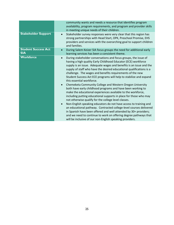|                                          | community wants and needs a resource that identifies program<br>availability, program requirements, and program and provider skills<br>in meeting unique needs of their children.                                                                                                                                                                                                                                                                                                                                                                                                                                                                                                                                                                                                                                                                                                                                                                                                                                                                                                                                                                               |
|------------------------------------------|-----------------------------------------------------------------------------------------------------------------------------------------------------------------------------------------------------------------------------------------------------------------------------------------------------------------------------------------------------------------------------------------------------------------------------------------------------------------------------------------------------------------------------------------------------------------------------------------------------------------------------------------------------------------------------------------------------------------------------------------------------------------------------------------------------------------------------------------------------------------------------------------------------------------------------------------------------------------------------------------------------------------------------------------------------------------------------------------------------------------------------------------------------------------|
| <b>Stakeholder Support</b>               | Stakeholder survey responses were very clear that this region has<br>$\bullet$<br>strong partnerships with Head Start, OPK, Preschool Promise, EHS<br>providers and services with the overarching goal to support children<br>and families.                                                                                                                                                                                                                                                                                                                                                                                                                                                                                                                                                                                                                                                                                                                                                                                                                                                                                                                     |
| <b>Student Success Act</b><br><b>SIA</b> | During Salem Keizer SIA focus groups the need for additional early<br>$\bullet$<br>learning services has been a consistent theme.                                                                                                                                                                                                                                                                                                                                                                                                                                                                                                                                                                                                                                                                                                                                                                                                                                                                                                                                                                                                                               |
| <b>Workforce</b>                         | During stakeholder conversations and focus groups, the issue of<br>$\bullet$<br>having a high quality Early Childhood Educator (ECE) workforce<br>supply is an issue. Adequate wages and benefits is an issue and the<br>supply of staff who have the desired educational qualifications is a<br>challenge. The wages and benefits requirements of the new<br>Student Success Act ECE programs will help to stabilize and expand<br>this essential workforce.<br>Chemeketa Community College and Western Oregon University<br>$\bullet$<br>both have early childhood programs and have been working to<br>make the educational experiences available to the workforce,<br>including putting educational supports in place for those who may<br>not otherwise qualify for the college level classes.<br>Non-English speaking educators do not have access to training and<br>$\bullet$<br>an educational pathway. Contracted college-level courses delivered<br>in Spanish have been offered and well attended by 30+ providers;<br>and we need to continue to work on offering degree pathways that<br>will be inclusive of our non-English speaking providers. |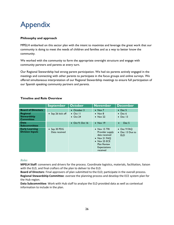## Appendix

## **Philosophy and approach**

MPELH embarked on this sector plan with the intent to maximize and leverage the great work that our community is doing to meet the needs of children and families and as a way to better know the community.

We worked with the community to form the appropriate oversight structure and engage with community partners and parents at every turn.

Our Regional Stewardship had strong parent participation. We had six parents actively engaged in the meetings and connecting with other parents to participate in the focus groups and online surveys. We offered simultaneous interpretation of our Regional Stewardship meetings to ensure full participation of our Spanish speaking community partners and parents.

## **Timeline and Role Overview**

|                                                    | <b>September</b>                      | <b>October</b>                       | <b>November</b>                                                                                                                                           | <b>December</b>                              |
|----------------------------------------------------|---------------------------------------|--------------------------------------|-----------------------------------------------------------------------------------------------------------------------------------------------------------|----------------------------------------------|
| <b>Board of Directors</b>                          |                                       | • October 3                          | $\bullet$ Nov 7                                                                                                                                           | $\bullet$ Dec 5                              |
| Regional<br><b>Stewardship</b><br><b>Committee</b> | • Sep 26 kick off                     | $\bullet$ Oct II<br>$\bullet$ Oct 24 | $\bullet$ Nov 8<br>$\bullet$ Nov 22                                                                                                                       | $\bullet$ Dec 6<br>$\bullet$ Dec 13          |
| Data<br><b>Subcommittee</b>                        |                                       | $\bullet$ Oct 9, Oct 16              | $\bullet$ Nov 19                                                                                                                                          | Dec <sub>5</sub><br>$\bullet$                |
| <b>Early Learning</b><br><b>Division Inputs</b>    | $\bullet$ Sep 30 PDG<br>Data received |                                      | $\bullet$ Nov 15 TRI<br>Provider supply<br>data received<br>• Nov 21 FAQ<br>$\bullet$ Nov 25 ECE<br><b>Plan Review</b><br><b>Expectations</b><br>received | • Dec 9 FAQ<br>• Dec 13 Due to<br><b>ELD</b> |

## *Roles*

**MPELH Staff**: conveners and drivers for the process. Coordinate logistics, materials, facilitation, liaison with the ELD, and final crafters of the plan to deliver to the ELD.

**Board of Directors**: Final approvers of plan submitted to the ELD; participate in the overall process. **Regional Stewardship Committee**: oversee the planning process and develop the ECE system plan for the Hub region.

**Data Subcommittee**: Work with Hub staff to analyze the ELD provided data as well as contextual information to include in the plan.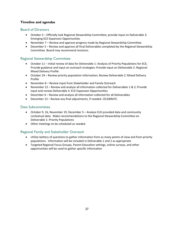## **Timeline and agendas**

## Board of Directors

- October 3 Officially task Regional Stewardship Committee; provide input on Deliverable 3: Emerging ECE Expansion Opportunities
- November 7 Review and approve progress made by Regional Stewardship Committee
- December 5 Review and approve all final Deliverables completed by the Regional Stewardship Committee. Board may recommend revisions.

## Regional Stewardship Committee

- October 11 Initial review of data for Deliverable 1: Analysis of Priority Populations for ECE; Provide guidance and input on outreach strategies: Provide input on Deliverable 2: Regional Mixed Delivery Profile
- October 24 Review priority population information; Review Deliverable 2: Mixed Delivery Profile
- November 8 Review input from Stakeholder and Family Outreach
- November 22 Review and analyze all information collected for Deliverables 1 & 2; Provide input and review Deliverable 3: ECE Expansion Opportunities
- December 6 Review and analyze all information collected for all Deliverables
- December 13 Review any final adjustments, if needed. CELEBRATE.

## Data Subcommittee

- October 9, 16, November 19, December 5 Analyze ELD provided data and community contextual data. Make recommendations to the Regional Stewardship Committee on Deliverable 1: Priority Populations
- Other meetings to be scheduled as needed

## Regional Family and Stakeholder Outreach

- Utilize battery of questions to gather information from as many points of view and from priority populations. Information will be included in Deliverable 1 and 2 as appropriate
- Targeted Regional Focus Groups, Parent Education settings, online surveys, and other opportunities will be used to gather specific information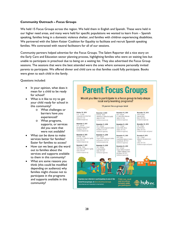## **Community Outreach – Focus Groups**

We held 15 Focus Groups across the region. We held them in English and Spanish. These were held in our higher need areas, and many were held for specific populations we wanted to learn from – Spanish speaking, families living in a domestic violence shelter, and families with children experiencing disabilities. We partnered with the Salem Keizer Coalition for Equality to facilitate and recruit Spanish speaking families. We contracted with neutral facilitators for all of our sessions.

Community partners helped advertise for the Focus Groups. The Salem Reporter did a nice story on the Early Care and Education sector planning process, highlighting families who were on waiting lists but unable to participate in preschool due to being on a waiting list. They also advertised the Focus Group sessions. The sessions that were the best attended were the ones where someone personally invited parents to participate. We offered dinner and child care so that families could fully participate. Books were given to each child in the family.

Questions included:

- In your opinion, what does it mean for a child to be ready for school?
- What is it like to try to get your child ready for school in this community?
	- o What challenges or barriers have you experienced?
	- o What programs, supports, or services did you want that were not available?
- What can be done to make services better for families? Easier for families to access?
- How can we best get the word out to families about the services and supports available to them in this community?
- What are some reasons you think (this could be modified depending on audience) why families might choose not to participate in the programs and supports available in this community?

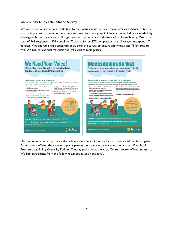## **Community Outreach – Online Survey**

We opened an online survey in addition to the Focus Groups to offer more families a chance to tell us what is important to them. In the survey we asked for demographic information, including race/ethnicity, language at home, parent and child ages, gender, zip code, and indicators of family well-being. We had a total of 563 responses - 491 complete, 72 partial for an 87% completion rate. Average time spent – 7 minutes. We offered a raffle (separate entry after the survey to ensure anonymity) and 79 entered to win. We had educational materials and gift cards as raffle prizes.



Our community helped promote the online survey. In addition, we had a robust social media campaign. Parents were offered the chance to participate in the survey at parent education classes, Preschool Promise sites, Policy Councils, Toddler Tuesday play time at the Kroc Center, doctor offices and more. We had participants from the following zip codes (see next page).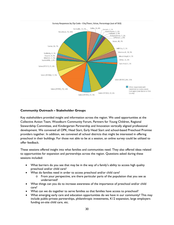

## **Community Outreach – Stakeholder Groups**

Key stakeholders provided insight and information across the region. We used opportunities at the Collective Action Team, Woodburn Community Forum, Partners for Young Children, Regional Stewardship Committee, and Kindergarten Partnership and Innovation vertically aligned professional development. We convened all OPK, Head Start, Early Head Start and school-based Preschool Promise providers together. In addition, we convened all school districts that might be interested in offering preschool in their buildings. For those not able to be at a session, an online survey could be utilized to offer feedback.

These sessions offered insight into what families and communities need. They also offered ideas related to opportunities for expansion and partnerships across the region. Questions asked during these sessions included:

- What barriers do you see that may be in the way of a family's ability to access high quality preschool and/or child care?
- What do families need in order to access preschool and/or child care?
	- o From your perspective, are there particular parts of the population that you see as underserved?
- What things can you do to increase awareness of the importance of preschool and/or child care?
- What can we do together to serve families so that families have access to preschool?
- What emerging early care and education opportunities do we have in our community? This may include public-private partnerships, philanthropic investments, K12 expansion, large employers funding on-site child care, etc.